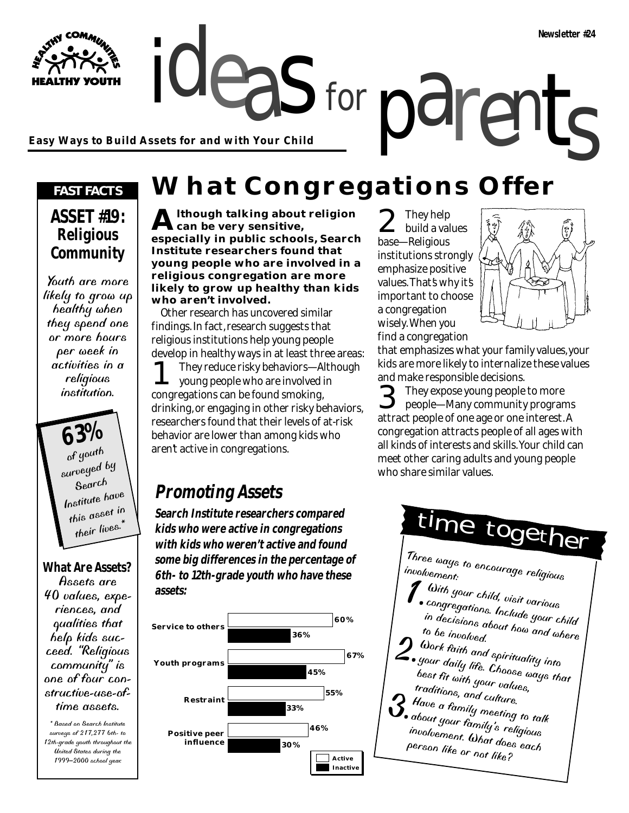**Easy Ways to Build Assets for and with Your Child**

#### *FAST FACTS*

WATHY COMMUNITY

**HEALTHY YOUTH** 

#### **ASSET #19: Religious Community**

Youth are more likely to grow up healthy when they spend one or more hours per week in activities in a religious institution.

> **63%** of youth surveyed by Search Institute have this asset in their lives.

#### **What Are Assets?**

Assets are 40 values, experiences, and qualities that help kids succeed. "Religious community" is one of four constructive-use-oftime assets.

\* Based on Search Institute surveys of 217,277 6th- to 12th-grade youth throughout the United States during the 1999–2000 school year.

# ideas for parents **What Congregations Offer**

for

**Although talking about religion can be very sensitive, especially in public schools, Search Institute researchers found that young people who are involved in a religious congregation are more likely to grow up healthy than kids who aren't involved.**

Other research has uncovered similar findings. In fact, research suggests that religious institutions help young people develop in healthy ways in at least three areas:

1 They reduce risky behaviors—Although young people who are involved in congregations can be found smoking, drinking, or engaging in other risky behaviors, researchers found that their levels of at-risk behavior are lower than among kids who aren't active in congregations.

### **Promoting Assets**

**Search Institute researchers compared kids who were active in congregations with kids who weren't active and found some big differences in the percentage of 6th- to 12th-grade youth who have these assets:**



 $\sum_{\text{build a values}}$ base—Religious institutions strongly emphasize positive values. That's why it's important to choose a congregation wisely. When you find a congregation



that emphasizes what your family values, your kids are more likely to internalize these values and make responsible decisions.

**3** They expose young people to more<br>people—Many community program people—Many community programs attract people of one age or one interest. A congregation attracts people of all ages with all kinds of interests and skills. Your child can meet other caring adults and young people who share similar values.